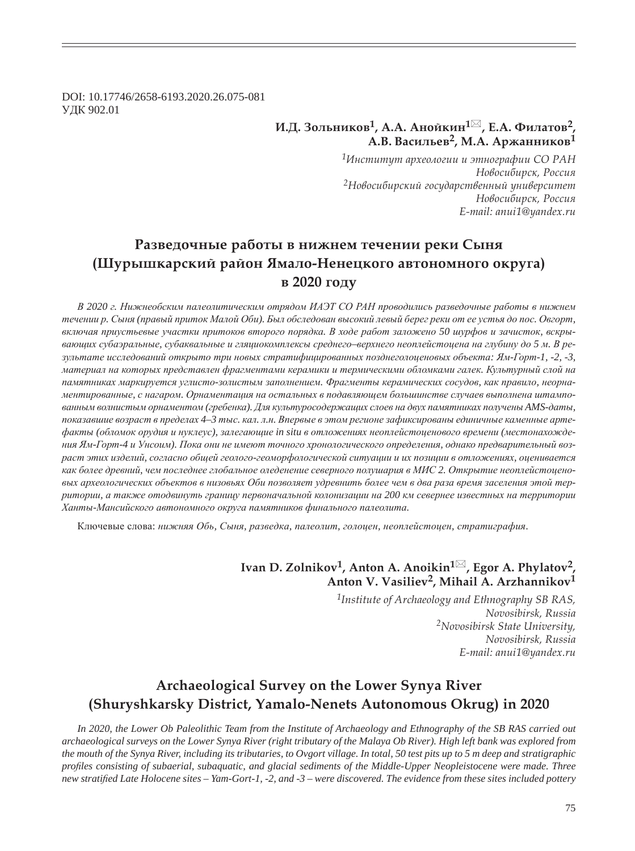DOI: 10.17746/2658-6193.2020.26.075-081 ɍȾɄ 902.01

### **Ƕ.Dz. ǵȜșȪțȖȘȜȐ1, Ǯ.Ǯ. ǮțȜȗȘȖț<sup>1</sup> , dz.Ǯ. ȂȖșȎȠȜȐ2,**   $A.B.$  Васильев<sup>2</sup>, М.А. Аржанников<sup>1</sup>

*<sup>1</sup>ǶțȟȠȖȠȡȠ ȎȞȣȓȜșȜȑȖȖ Ȗ ȫȠțȜȑȞȎȢȖȖ ǿǼ ǾǮǻ*  $H$ овосибирск, Россия <sup>2</sup>Новосибирский государственный университет  $H$ овосибирск, Россия *E-mail: anui1@yandex.ru*

# Разведочные работы в нижнем течении реки Сыня **(ȆȡȞȩȦȘȎȞȟȘȖȗ ȞȎȗȜț ȍȚȎșȜ-ǻȓțȓȤȘȜȑȜ ȎȐȠȜțȜȚțȜȑȜ ȜȘȞȡȑȎ) в** 2020 году

В 2020 г. Нижнеобским палеолитическим отрядом ИАЭТ СО РАН проводились разведочные работы в нижнем течении р. Сыня (правый приток Малой Оби). Был обследован высокий левый берег реки от ее устья до пос. Овгорт, включая приустьевые участки притоков второго порядка. В ходе работ заложено 50 шурфов и зачисток, вскрывающих субаэральные, субаквальные и гляциокомплексы среднего-верхнего неоплейстоцена на глубину до 5 м. В ре*ɡɭɥɶɬɚɬɟ ɢɫɫɥɟɞɨɜɚɧɢɣ ɨɬɤɪɵɬɨ ɬɪɢ ɧɨɜɵɯ ɫɬɪɚɬɢɮɢɰɢɪɨɜɚɧɧɵɯ ɩɨɡɞɧɟɝɨɥɨɰɟɧɨɜɵɯ ɨɛɴɟɤɬɚ: əɦ-Ƚɨɪɬ-1, -2, -3,*  материал на которых представлен фрагментами керамики и термическими обломками галек. Культурный слой на памятниках маркируется углисто-золистым заполнением. Фрагменты керамических сосудов, как правило, неорнаментированные, с нагаром. Орнаментация на остальных в подавляющем большинстве случаев выполнена штампо*ɜɚɧɧɵɦ ɜɨɥɧɢɫɬɵɦ ɨɪɧɚɦɟɧɬɨɦ (ɝɪɟɛɟɧɤɚ). Ⱦɥɹ ɤɭɥɶɬɭɪɨɫɨɞɟɪɠɚɳɢɯ ɫɥɨɟɜ ɧɚ ɞɜɭɯ ɩɚɦɹɬɧɢɤɚɯ ɩɨɥɭɱɟɧɵ AMS-ɞɚɬɵ,*  показавшие возраст в пределах 4-3 тыс. кал. л.н. Впервые в этом регионе зафиксированы единичные каменные арте- $\phi$ акты (обломок орудия и нуклеус), залегающие in situ в отложениях неоплейстоценового времени (местонахождения Ям-Горт-4 и Унсоим). Пока они не имеют точного хронологического определения, однако предварительный возраст этих изделий, согласно общей геолого-геоморфологической ситуации и их позиции в отложениях, оценивается как более древний, чем последнее глобальное оледенение северного полушария в МИС 2. Открытие неоплейстоценовых археологических объектов в низовьях Оби позволяет удревнить более чем в два раза время заселения этой тер $p$ итории, а также отодвинуть границу первоначальной колонизации на 200 км севернее известных на территории *ɏɚɧɬɵ-Ɇɚɧɫɢɣɫɤɨɝɨ ɚɜɬɨɧɨɦɧɨɝɨ ɨɤɪɭɝɚ ɩɚɦɹɬɧɢɤɨɜ ɮɢɧɚɥɶɧɨɝɨ ɩɚɥɟɨɥɢɬɚ.*

Ключевые слова: нижняя Обь, Сыня, разведка, палеолит, голоцен, неоплейстоцен, стратиграфия.

## **Ivan D. Zolnikov<sup>1</sup>, Anton A. Anoikin<sup>1⊠</sup>, Egor A. Phylatov<sup>2</sup>, Anton V. Vasiliev2, Mihail A. Arzhannikov1**

*1Institute of Archaeology and Ethnography SB RAS, Novosibirsk, Russia 2Novosibirsk State University, Novosibirsk, Russia E-mail: anui1@yandex.ru*

# **Archaeological Survey on the Lower Synya River (Shuryshkarsky District, Yamalo-Nenets Autonomous Okrug) in 2020**

*In 2020, the Lower Ob Paleolithic Team from the Institute of Archaeology and Ethnography of the SB RAS carried out archaeological surveys on the Lower Synya River (right tributary of the Malaya Ob River). High left bank was explored from the mouth of the Synya River, including its tributaries, to Ovgort village. In total, 50 test pits up to 5 m deep and stratigraphic pro¿ les consisting of subaerial, subaquatic, and glacial sediments of the Middle-Upper Neopleistocene were made. Three new stratified Late Holocene sites – Yam-Gort-1, -2, and -3 – were discovered. The evidence from these sites included pottery*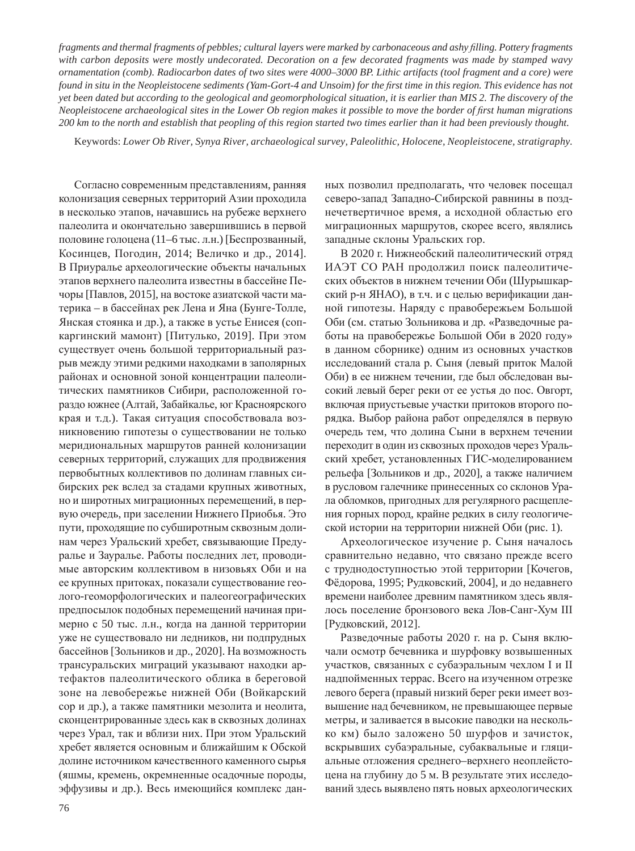*fragments and thermal fragments of pebbles; cultural layers were marked by carbonaceous and ashy filling. Pottery fragments with carbon deposits were mostly undecorated. Decoration on a few decorated fragments was made by stamped wavy ornamentation (comb). Radiocarbon dates of two sites were 4000–3000 BP. Lithic artifacts (tool fragment and a core) were found in situ in the Neopleistocene sediments (Yam-Gort-4 and Unsoim) for the first time in this region. This evidence has not yet been dated but according to the geological and geomorphological situation, it is earlier than MIS 2. The discovery of the Neopleistocene archaeological sites in the Lower Ob region makes it possible to move the border of first human migrations 200 km to the north and establish that peopling of this region started two times earlier than it had been previously thought.*

Keywords: *Lower Ob River, Synya River, archaeological survey, Paleolithic, Holocene, Neopleistocene, stratigraphy.*

Согласно современным представлениям, ранняя колонизация северных территорий Азии проходила в несколько этапов, начавшись на рубеже верхнего палеолита и окончательно завершившись в первой половине голоцена (11–6 тыс. л.н.) [Беспрозванный, Косинцев, Погодин, 2014; Величко и др., 2014]. В Приуралье археологические объекты начальных этапов верхнего палеолита известны в бассейне Печоры [Павлов, 2015], на востоке азиатской части материка – в бассейнах рек Лена и Яна (Бунге-Толле, Янская стоянка и др.), а также в устье Енисея (сопкаргинский мамонт) [Питулько, 2019]. При этом существует очень большой территориальный разрыв между этими редкими находками в заполярных районах и основной зоной концентрации палеолитических памятников Сибири, расположенной гораздо южнее (Алтай, Забайкалье, юг Красноярского края и т.д.). Такая ситуация способствовала возникновению гипотезы о существовании не только меридиональных маршрутов ранней колонизации северных территорий, служащих для продвижения первобытных коллективов по долинам главных сибирских рек вслед за стадами крупных животных, но и широтных миграционных перемещений, в первую очередь, при заселении Нижнего Приобья. Это пути, проходящие по субширотным сквозным долинам через Уральский хребет, связывающие Предуралье и Зауралье. Работы последних лет, проводимые авторским коллективом в низовьях Оби и на ее крупных притоках, показали существование геолого-геоморфологических и палеогеографических предпосылок подобных перемещений начиная примерно с 50 тыс. л.н., когда на данной территории уже не существовало ни ледников, ни подпрудных бассейнов [Зольников и др., 2020]. На возможность трансуральских миграций указывают находки артефактов палеолитического облика в береговой зоне на левобережье нижней Оби (Войкарский сор и др.), а также памятники мезолита и неолита, сконцентрированные здесь как в сквозных долинах через Урал, так и вблизи них. При этом Уральский хребет является основным и ближайшим к Обской долине источником качественного каменного сырья (яшмы, кремень, окремненные осадочные породы, эффузивы и др.). Весь имеющийся комплекс данных позволил предполагать, что человек посещал северо-запад Западно-Сибирской равнины в позднечетвертичное время, а исходной областью его миграционных маршрутов, скорее всего, являлись западные склоны Уральских гор.

В 2020 г. Нижнеобский палеолитический отряд ИАЭТ СО РАН продолжил поиск палеолитических объектов в нижнем течении Оби (Шурышкарский р-н ЯНАО), в т.ч. и с целью верификации данной гипотезы. Наряду с правобережьем Большой Оби (см. статью Зольникова и др. «Разведочные работы на правобережье Большой Оби в 2020 году» в данном сборнике) одним из основных участков исследований стала р. Сыня (левый приток Малой Оби) в ее нижнем течении, где был обследован высокий левый берег реки от ее устья до пос. Овгорт, включая приустьевые участки притоков второго порядка. Выбор района работ определялся в первую очередь тем, что долина Сыни в верхнем течении переходит в один из сквозных проходов через Уральский хребет, установленных ГИС-моделированием рельефа [Зольников и др., 2020], а также наличием в русловом галечнике принесенных со склонов Урала обломков, пригодных для регулярного расщепления горных пород, крайне редких в силу геологической истории на территории нижней Оби (рис. 1).

Археологическое изучение р. Сыня началось сравнительно недавно, что связано прежде всего с труднодоступностью этой территории [Кочегов, Фёдорова, 1995; Рудковский, 2004], и до недавнего времени наиболее древним памятником здесь являлось поселение бронзового века Лов-Санг-Хум III [Рудковский, 2012].

Разведочные работы 2020 г. на р. Сыня включали осмотр бечевника и шурфовку возвышенных участков, связанных с субаэральным чехлом I и II надпойменных террас. Всего на изученном отрезке левого берега (правый низкий берег реки имеет возвышение над бечевником, не превышающее первые метры, и заливается в высокие паводки на несколько км) было заложено 50 шурфов и зачисток, вскрывших субаэральные, субаквальные и гляциальные отложения среднего-верхнего неоплейстоцена на глубину до 5 м. В результате этих исследований здесь выявлено пять новых археологических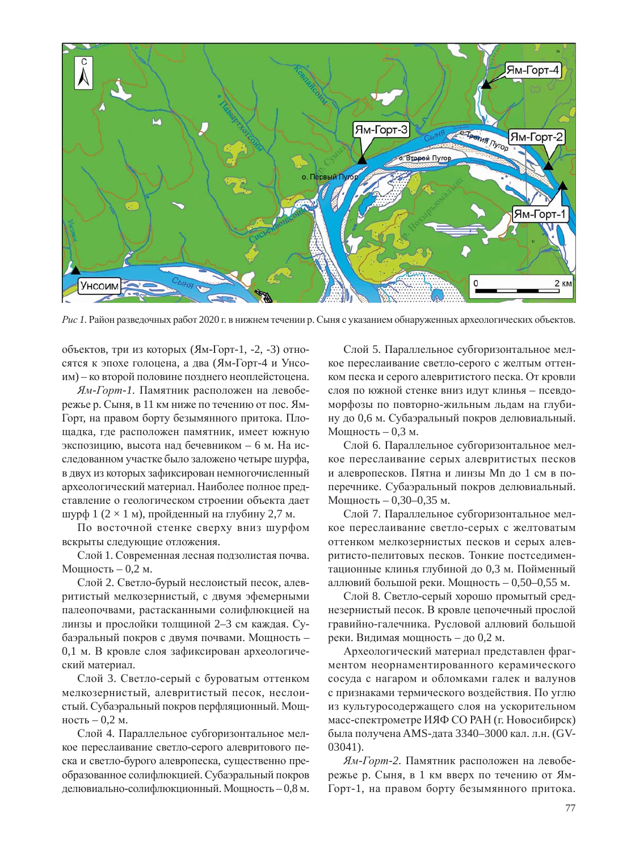

*Рис 1*. Район разведочных работ 2020 г. в нижнем течении р. Сыня с указанием обнаруженных археологических объектов.

объектов, три из которых (Ям-Горт-1, -2, -3) относятся к эпохе голоцена, а два (Ям-Горт-4 и Унсоим) – ко второй половине позднего неоплейстоцена.

 $A$ <sub>*M*-*Горт*-1. Памятник расположен на левобе-</sub> режье р. Сыня, в 11 км ниже по течению от пос. Ям-Горт, на правом борту безымянного притока. Площадка, где расположен памятник, имеет южную экспозицию, высота над бечевником – 6 м. На исследованном участке было заложено четыре шурфа, в двух из которых зафиксирован немногочисленный археологический материал. Наиболее полное представление о геологическом строении объекта дает шурф 1 (2  $\times$  1 м), пройденный на глубину 2,7 м.

По восточной стенке сверху вниз шурфом вскрыты следующие отложения.

Слой 1. Современная лесная подзолистая почва. Мощность – 0,2 м.

Слой 2. Светло-бурый неслоистый песок, алевритистый мелкозернистый, с двумя эфемерными палеопочвами, растасканными солифлюкцией на линзы и прослойки толщиной 2–3 см каждая. Субаэральный покров с двумя почвами. Мощность -0,1 м. В кровле слоя зафиксирован археологический материал.

Слой 3. Светло-серый с буроватым оттенком мелкозернистый, алевритистый песок, неслоистый. Субаэральный покров перфляционный. Мощность – 0,2 м.

Слой 4. Параллельное субгоризонтальное мелкое переслаивание светло-серого алевритового песка и светло-бурого алевропеска, существенно преобразованное солифлюкцией. Субаэральный покров делювиально-солифлюкционный. Мощность – 0,8 м.

Слой 5. Параллельное субгоризонтальное мелкое переслаивание светло-серого с желтым оттенком песка и серого алевритистого песка. От кровли слоя по южной стенке вниз идут клинья - псевдоморфозы по повторно-жильным льдам на глубину до 0,6 м. Субаэральный покров делювиальный. Мощность – 0.3 м.

Слой 6. Параллельное субгоризонтальное мелкое переслаивание серых алевритистых песков и алевропесков. Пятна и линзы Mn до 1 см в поперечнике. Субаэральный покров делювиальный. Мощность – 0,30–0,35 м.

Слой 7. Параллельное субгоризонтальное мелкое переслаивание светло-серых с желтоватым оттенком мелкозернистых песков и серых алевритисто-пелитовых песков. Тонкие постседиментационные клинья глубиной до 0,3 м. Пойменный аллювий большой реки. Мощность – 0,50–0,55 м.

Слой 8. Светло-серый хорошо промытый среднезернистый песок. В кровле цепочечный прослой гравийно-галечника. Русловой аллювий большой реки. Видимая мощность – до 0,2 м.

Археологический материал представлен фрагментом неорнаментированного керамического сосуда с нагаром и обломками галек и валунов с признаками термического воздействия. По углю из культуросодержащего слоя на ускорительном масс-спектрометре ИЯФ СО РАН (г. Новосибирск) была получена AMS-дата 3340–3000 кал. л.н. (GV-03041).

 $A$ <sub>*M*-*Горт*-2. Памятник расположен на левобе-</sub> режье р. Сыня, в 1 км вверх по течению от Ям-Горт-1, на правом борту безымянного притока.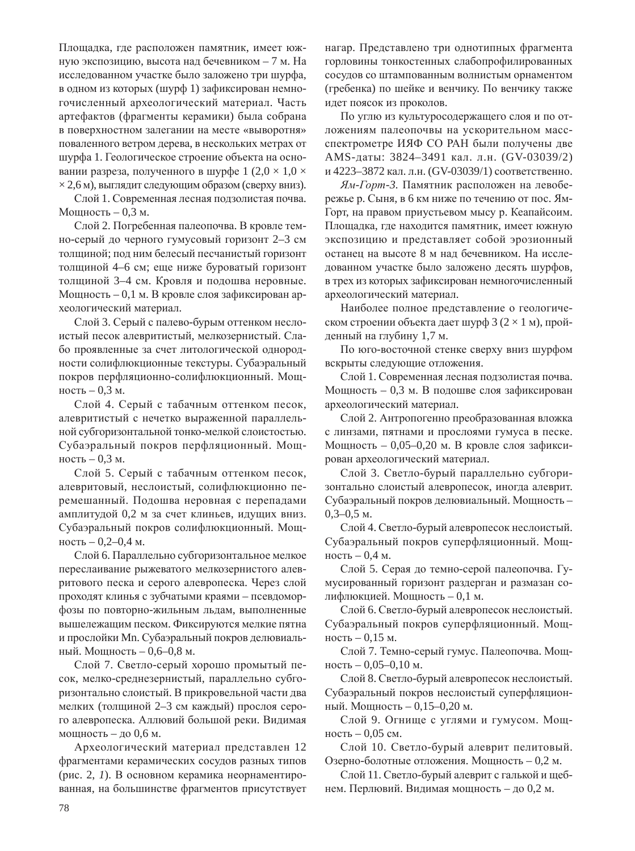Площадка, где расположен памятник, имеет южную экспозицию, высота над бечевником – 7 м. На исследованном участке было заложено три шурфа, в одном из которых (шурф 1) зафиксирован немногочисленный археологический материал. Часть артефактов (фрагменты керамики) была собрана в поверхностном залегании на месте «выворотня» поваленного ветром дерева, в нескольких метрах от шурфа 1. Геологическое строение объекта на основании разреза, полученного в шурфе 1 (2,0  $\times$  1,0  $\times$  $\times$  2,6 м), выглядит следующим образом (сверху вниз).

Слой 1. Современная лесная подзолистая почва. Мощность – 0,3 м.

Слой 2. Погребенная палеопочва. В кровле темно-серый до черного гумусовый горизонт 2–3 см толщиной; под ним белесый песчанистый горизонт толщиной 4–6 см; еще ниже буроватый горизонт толщиной 3–4 см. Кровля и подошва неровные. Мощность – 0,1 м. В кровле слоя зафиксирован археологический материал.

Слой 3. Серый с палево-бурым оттенком неслоистый песок алевритистый, мелкозернистый. Слабо проявленные за счет литологической однородности солифлюкционные текстуры. Субаэральный покров перфляционно-солифлюкционный. Мощность – 0,3 м.

Слой 4. Серый с табачным оттенком песок, алевритистый с нечетко выраженной параллельной субгоризонтальной тонко-мелкой слоистостью. Субаэральный покров перфляционный. Мощность – 0,3 м.

Слой 5. Серый с табачным оттенком песок, алевритовый, неслоистый, солифлюкционно перемешанный. Подошва неровная с перепадами амплитудой 0,2 м за счет клиньев, идущих вниз. Субаэральный покров солифлюкционный. Мощность – 0,2–0,4 м.

Слой 6. Параллельно субгоризонтальное мелкое переслаивание рыжеватого мелкозернистого алевритового песка и серого алевропеска. Через слой проходят клинья с зубчатыми краями – псевдоморфозы по повторно-жильным льдам, выполненные вышележащим песком. Фиксируются мелкие пятна и прослойки Mn. Субаэральный покров делювиальный. Мощность – 0,6–0,8 м.

Слой 7. Светло-серый хорошо промытый песок, мелко-среднезернистый, параллельно субгоризонтально слоистый. В прикровельной части два мелких (толщиной 2–3 см каждый) прослоя серого алевропеска. Аллювий большой реки. Видимая мощность – до 0,6 м.

Археологический материал представлен 12 фрагментами керамических сосудов разных типов (рис. 2, 1). В основном керамика неорнаментированная, на большинстве фрагментов присутствует

нагар. Представлено три однотипных фрагмента горловины тонкостенных слабопрофилированных сосудов со штампованным волнистым орнаментом (гребенка) по шейке и венчику. По венчику также идет поясок из проколов.

По углю из культуросодержащего слоя и по отложениям палеопочвы на ускорительном массспектрометре ИЯФ СО РАН были получены две AMS-даты: 3824–3491 кал. л.н. (GV-03039/2) и 4223–3872 кал. л.н. (GV-03039/1) соответственно.

 $A$ <sub>*M*</sub>-*Горт*-3. Памятник расположен на левобережье р. Сыня, в 6 км ниже по течению от пос. Ям-Горт, на правом приустьевом мысу р. Кеапайсоим. Площадка, где находится памятник, имеет южную экспозицию и представляет собой эрозионный останец на высоте 8 м над бечевником. На исследованном участке было заложено десять шурфов, в трех из которых зафиксирован немногочисленный археологический материал.

Наиболее полное представление о геологическом строении объекта дает шурф 3 ( $2 \times 1$  м), пройденный на глубину 1,7 м.

По юго-восточной стенке сверху вниз шурфом вскрыты следующие отложения.

Слой 1. Современная лесная подзолистая почва. Мощность – 0,3 м. В подошве слоя зафиксирован археологический материал.

Слой 2. Антропогенно преобразованная вложка с линзами, пятнами и прослоями гумуса в песке. Мощность – 0,05–0,20 м. В кровле слоя зафиксирован археологический материал.

Слой 3. Светло-бурый параллельно субгоризонтально слоистый алевропесок, иногда алеврит. Субаэральный покров делювиальный. Мощность –  $0,3-0,5$  M.

Слой 4. Светло-бурый алевропесок неслоистый. Субаэральный покров суперфляционный. Мощность – 0,4 м.

Слой 5. Серая до темно-серой палеопочва. Гумусированный горизонт раздерган и размазан солифлюкцией. Мощность – 0,1 м.

Слой 6. Светло-бурый алевропесок неслоистый. Субаэральный покров суперфляционный. Мощность – 0,15 м.

Слой 7. Темно-серый гумус. Палеопочва. Мощность – 0,05–0,10 м.

Слой 8. Светло-бурый алевропесок неслоистый. Субаэральный покров неслоистый суперфляционный. Мощность – 0,15–0,20 м.

Слой 9. Огнище с углями и гумусом. Мощность – 0,05 см.

Слой 10. Светло-бурый алеврит пелитовый. Озерно-болотные отложения. Мощность – 0,2 м.

Слой 11. Светло-бурый алеврит с галькой и щебнем. Перлювий. Видимая мощность – до 0,2 м.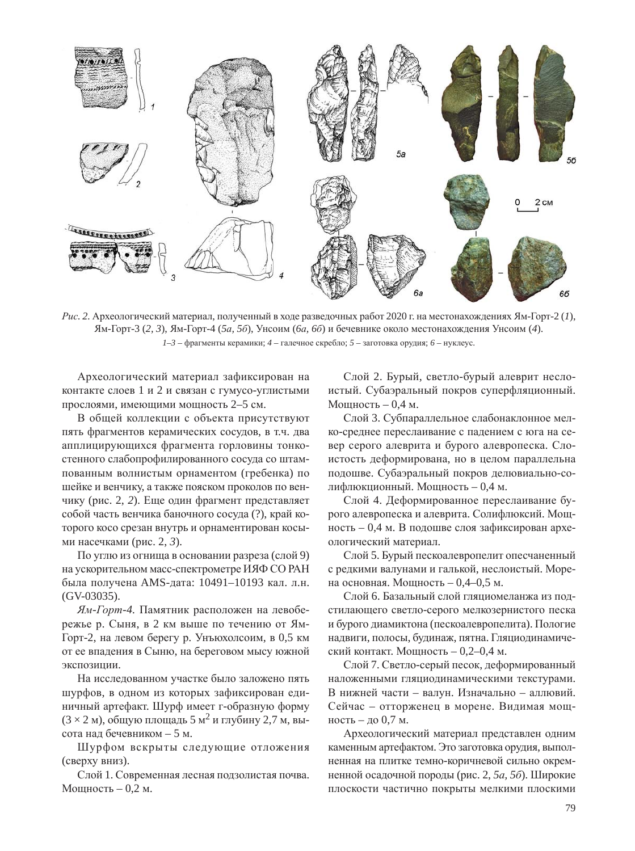

Рис. 2. Археологический материал, полученный в ходе разведочных работ 2020 г. на местонахождениях Ям-Горт-2 (1), əɦ-Ƚɨɪɬ-3 (*2, 3*), əɦ-Ƚɨɪɬ-4 (*5ɚ, 5ɛ*), ɍɧɫɨɢɦ (*6ɚ, 6ɛ*) ɢ ɛɟɱɟɜɧɢɤɟ ɨɤɨɥɨ ɦɟɫɬɨɧɚɯɨɠɞɟɧɢɹ ɍɧɫɨɢɦ (*4*).  $1-3$  – фрагменты керамики;  $4$  – галечное скребло;  $5$  – заготовка орудия;  $6$  – нуклеус.

Археологический материал зафиксирован на контакте слоев 1 и 2 и связан с гумусо-углистыми прослоями, имеющими мощность 2–5 см.

В общей коллекции с объекта присутствуют пять фрагментов керамических сосудов, в т.ч. два апплицирующихся фрагмента горловины тонкостенного слабопрофилированного сосуда со штампованным волнистым орнаментом (гребенка) по шейке и венчику, а также пояском проколов по венчику (рис. 2, 2). Еще один фрагмент представляет собой часть венчика баночного сосуда (?), край которого косо срезан внутрь и орнаментирован косыми насечками (рис. 2, 3).

По углю из огнища в основании разреза (слой 9) на ускорительном масс-спектрометре ИЯФ СО РАН была получена AMS-дата: 10491–10193 кал. л.н. (GV-03035).

 $A$ <sup>*M*</sup>-*Горт*-4. Памятник расположен на левобережье р. Сыня, в 2 км выше по течению от Ям-Горт-2, на левом берегу р. Унъюхолсоим, в 0,5 км от ее впадения в Сыню, на береговом мысу южной экспозиции.

На исследованном участке было заложено пять шурфов, в одном из которых зафиксирован единичный артефакт. Шурф имеет г-образную форму  $(3 \times 2 \text{ m})$ , общую площадь 5 м<sup>2</sup> и глубину 2,7 м, высота над бечевником – 5 м.

Шурфом вскрыты следующие отложения (сверху вниз).

Слой 1. Современная лесная подзолистая почва. Мошность – 0,2 м.

Слой 2. Бурый, светло-бурый алеврит неслоистый. Субаэральный покров суперфляционный. Мощность – 0,4 м.

Слой 3. Субпараллельное слабонаклонное мелко-среднее переслаивание с падением с юга на север серого алеврита и бурого алевропеска. Слоистость деформирована, но в целом параллельна подошве. Субаэральный покров делювиально-солифлюкционный. Мощность – 0,4 м.

Слой 4. Деформированное переслаивание бурого алевропеска и алеврита. Солифлюксий. Мощность – 0,4 м. В подошве слоя зафиксирован археологический материал.

Слой 5. Бурый пескоалевропелит опесчаненный с редкими валунами и галькой, неслоистый. Морена основная. Мощность – 0,4–0,5 м.

Слой 6. Базальный слой гляциомеланжа из подстилающего светло-серого мелкозернистого песка и бурого диамиктона (пескоалевропелита). Пологие надвиги, полосы, будинаж, пятна. Гляциодинамический контакт. Мощность – 0,2–0,4 м.

Слой 7. Светло-серый песок, деформированный наложенными гляциодинамическими текстурами. В нижней части – валун. Изначально – аллювий. Сейчас – отторженец в морене. Видимая мощность – до 0,7 м.

Археологический материал представлен одним каменным артефактом. Это заготовка орудия, выполненная на плитке темно-коричневой сильно окремненной осадочной породы (рис. 2, 5*a*, 5*6*). Широкие плоскости частично покрыты мелкими плоскими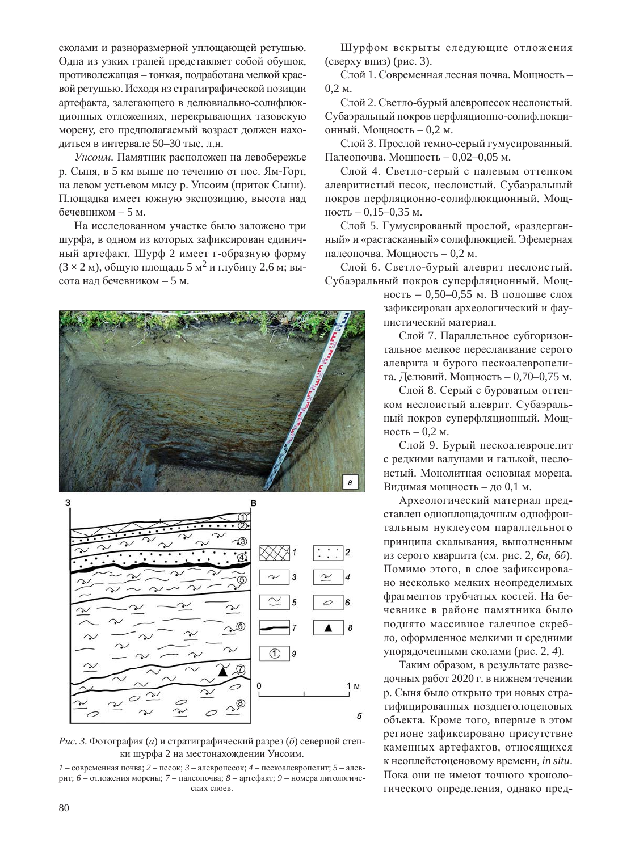сколами и разноразмерной уплощающей ретушью. Одна из узких граней представляет собой обушок, противолежащая – тонкая, подработана мелкой краевой ретушью. Исходя из стратиграфической позиции артефакта, залегающего в делювиально-солифлюкционных отложениях, перекрывающих тазовскую морену, его предполагаемый возраст должен находиться в интервале 50–30 тыс. л.н.

Унсоим. Памятник расположен на левобережье р. Сыня, в 5 км выше по течению от пос. Ям-Горт, на левом устьевом мысу р. Унсоим (приток Сыни). Площадка имеет южную экспозицию, высота над бечевником – 5 м.

На исследованном участке было заложено три шурфа, в одном из которых зафиксирован единичный артефакт. Шурф 2 имеет г-образную форму  $(3 \times 2 \text{ m})$ , общую площадь 5 м<sup>2</sup> и глубину 2,6 м; высота над бечевником – 5 м.

Шурфом вскрыты следующие отложения  $($ сверху вниз $)$  (рис. 3).

Слой 1. Современная лесная почва. Мощность –  $0.2<sub>M</sub>$ .

Слой 2. Светло-бурый алевропесок неслоистый. Субаэральный покров перфляционно-солифлюкционный. Мощность – 0,2 м.

Слой 3. Прослой темно-серый гумусированный. Палеопочва. Мощность – 0,02–0,05 м.

Слой 4. Светло-серый с палевым оттенком алевритистый песок, неслоистый. Субаэральный покров перфляционно-солифлюкционный. Мощность – 0,15–0,35 м.

Слой 5. Гумусированый прослой, «раздерганный» и «растасканный» солифлюкцией. Эфемерная палеопочва. Мощность – 0,2 м.

Слой 6. Светло-бурый алеврит неслоистый. Субаэральный покров суперфляционный. Мощ-

> ность – 0,50–0,55 м. В подошве слоя зафиксирован археологический и фаунистический материал.

Слой 7. Параллельное субгоризонтальное мелкое переслаивание серого алеврита и бурого пескоалевропелита. Делювий. Мощность – 0,70–0,75 м.

Слой 8. Серый с буроватым оттенком неслоистый алеврит. Субаэральный покров суперфляционный. Мощность – 0,2 м.

Слой 9. Бурый пескоалевропелит с редкими валунами и галькой, неслоистый. Монолитная основная морена. Видимая мощность – до 0,1 м.

Археологический материал представлен одноплощадочным однофронтальным нуклеусом параллельного принципа скалывания, выполненным из серого кварцита (см. рис. 2, 6*a*, 6*6*). Помимо этого, в слое зафиксировано несколько мелких неопределимых фрагментов трубчатых костей. На бечевнике в районе памятника было поднято массивное галечное скребло, оформленное мелкими и средними упорядоченными сколами (рис. 2, 4).

Таким образом, в результате разведочных работ 2020 г. в нижнем течении р. Сыня было открыто три новых стратифицированных позднеголоценовых объекта. Кроме того, впервые в этом регионе зафиксировано присутствие каменных артефактов, относящихся к неоплейстоценовому времени, *in situ*. Пока они не имеют точного хронологического определения, однако пред-





Рис. 3. Фотография (*a*) и стратиграфический разрез (б) северной стенки шурфа 2 на местонахождении Унсоим.

 $1$  – современная почва;  $2$  – песок;  $3$  – алевропесок;  $4$  – пескоалевропелит;  $5$  – алеврит; 6 – отложения морены; 7 – палеопочва; 8 – артефакт; 9 – номера литологических слоев.